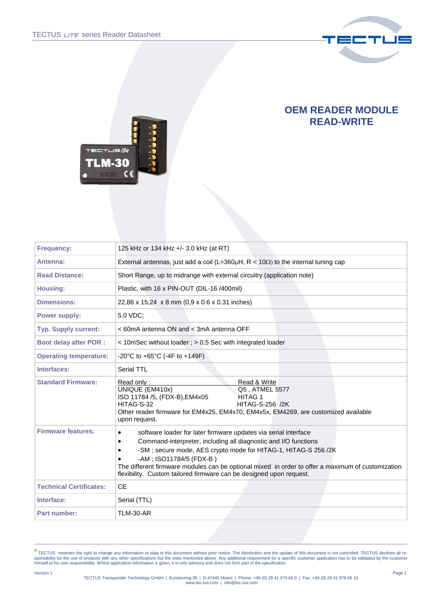

## **OEM READER MODULE READ-WRITE**



| 125 kHz or 134 kHz +/- 3.0 kHz (at RT)                                                                                                                                                                                                                                                                                                                                                                          |
|-----------------------------------------------------------------------------------------------------------------------------------------------------------------------------------------------------------------------------------------------------------------------------------------------------------------------------------------------------------------------------------------------------------------|
| External antennas, just add a coil (L=360 $\mu$ H, R < 10 $\Omega$ ) to the internal tuning cap                                                                                                                                                                                                                                                                                                                 |
| Short Range, up to midrange with external circuitry (application note)                                                                                                                                                                                                                                                                                                                                          |
| Plastic, with 16 x PIN-OUT (DIL-16 /400mil)                                                                                                                                                                                                                                                                                                                                                                     |
| 22,86 x 15,24 x 8 mm (0,9 x 0.6 x 0.31 inches)                                                                                                                                                                                                                                                                                                                                                                  |
| 5.0 VDC;                                                                                                                                                                                                                                                                                                                                                                                                        |
| < 60mA antenna ON and < 3mA antenna OFF                                                                                                                                                                                                                                                                                                                                                                         |
| < 10mSec without loader; > 0,5 Sec with integrated loader                                                                                                                                                                                                                                                                                                                                                       |
| -20°C to +65°C (-4F to +149F)                                                                                                                                                                                                                                                                                                                                                                                   |
| Serial TTL                                                                                                                                                                                                                                                                                                                                                                                                      |
| Read & Write<br>Read only:<br>UNIQUE (EM410x)<br>Q5, ATMEL 5577<br>ISO 11784 /5, (FDX-B), EM4x05<br><b>HITAG1</b><br>HITAG-S-32<br><b>HITAG-S-256 /2K</b><br>Other reader firmware for EM4x25, EM4x70, EM4x5x, EM4269, are customized available<br>upon request.                                                                                                                                                |
| software loader for later firmware updates via serial interface<br>٠<br>Command-interpreter, including all diagnostic and I/O functions<br>-SM; secure mode, AES crypto mode for HITAG-1, HITAG-S 256/2K<br>-AM; ISO11784/5 (FDX-B)<br>The different firmware modules can be optional mixed in order to offer a maximum of customization<br>flexibility. Custom tailored firmware can be designed upon request. |
| <b>CE</b>                                                                                                                                                                                                                                                                                                                                                                                                       |
| Serial (TTL)                                                                                                                                                                                                                                                                                                                                                                                                    |
| <b>TLM-30-AR</b>                                                                                                                                                                                                                                                                                                                                                                                                |
|                                                                                                                                                                                                                                                                                                                                                                                                                 |

<sup>©</sup> TECTUS reserves the right to change any information or data in this document without prior notice. The distribution and the update of this document is not controlled. TECTUS declines all responsibility for the use of pro